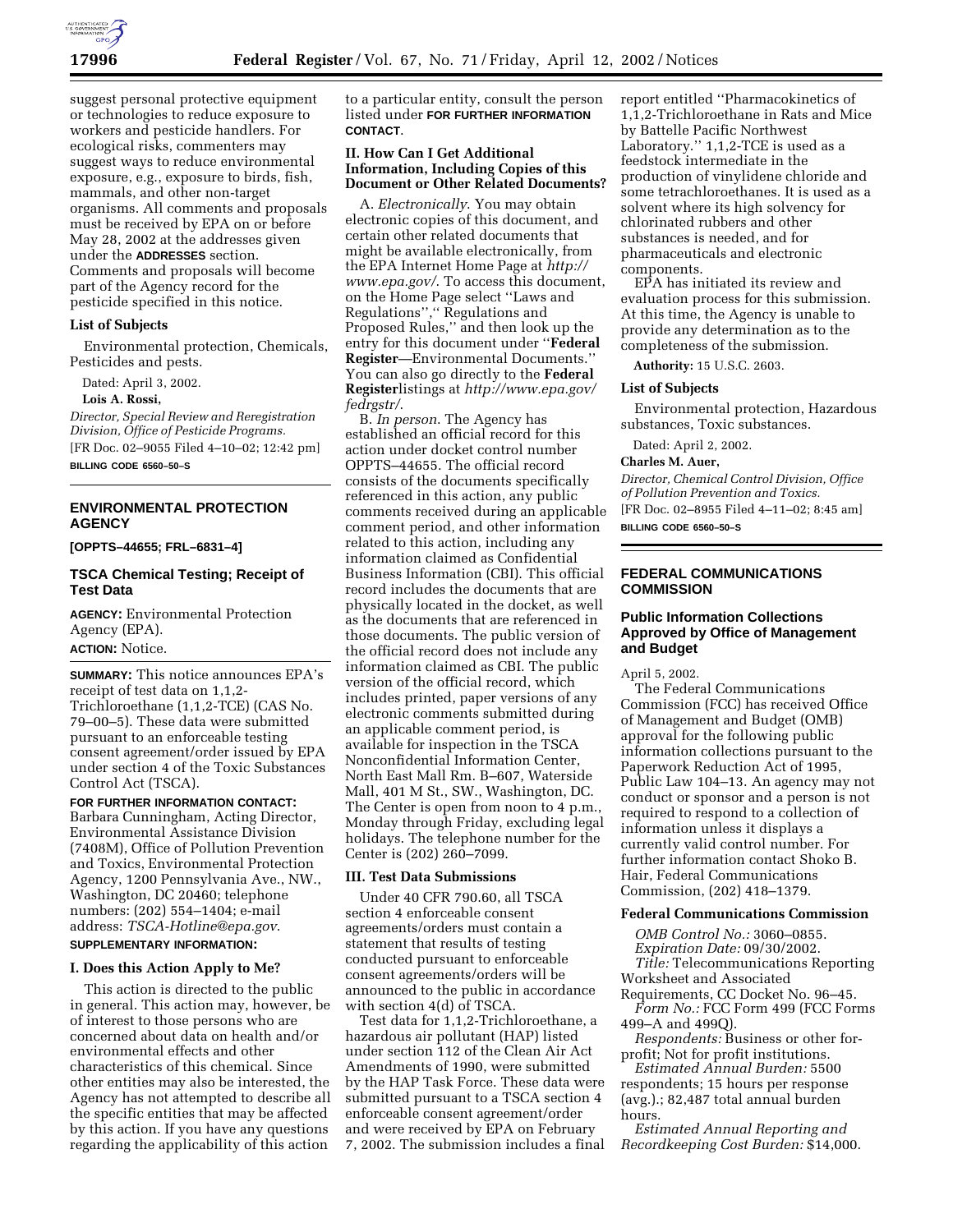

suggest personal protective equipment or technologies to reduce exposure to workers and pesticide handlers. For ecological risks, commenters may suggest ways to reduce environmental exposure, e.g., exposure to birds, fish, mammals, and other non-target organisms. All comments and proposals must be received by EPA on or before May 28, 2002 at the addresses given under the **ADDRESSES** section. Comments and proposals will become part of the Agency record for the pesticide specified in this notice.

### **List of Subjects**

Environmental protection, Chemicals, Pesticides and pests.

Dated: April 3, 2002.

**Lois A. Rossi,**

*Director, Special Review and Reregistration Division, Office of Pesticide Programs.* [FR Doc. 02–9055 Filed 4–10–02; 12:42 pm]

**BILLING CODE 6560–50–S**

# **ENVIRONMENTAL PROTECTION AGENCY**

**[OPPTS–44655; FRL–6831–4]**

# **TSCA Chemical Testing; Receipt of Test Data**

**AGENCY:** Environmental Protection Agency (EPA). **ACTION:** Notice.

**SUMMARY:** This notice announces EPA's receipt of test data on 1,1,2- Trichloroethane (1,1,2-TCE) (CAS No. 79–00–5). These data were submitted pursuant to an enforceable testing consent agreement/order issued by EPA under section 4 of the Toxic Substances Control Act (TSCA).

**FOR FURTHER INFORMATION CONTACT:** Barbara Cunningham, Acting Director, Environmental Assistance Division (7408M), Office of Pollution Prevention and Toxics, Environmental Protection Agency, 1200 Pennsylvania Ave., NW., Washington, DC 20460; telephone numbers: (202) 554–1404; e-mail address: *TSCA-Hotline@epa.gov*. **SUPPLEMENTARY INFORMATION:**

# **I. Does this Action Apply to Me?**

This action is directed to the public in general. This action may, however, be of interest to those persons who are concerned about data on health and/or environmental effects and other characteristics of this chemical. Since other entities may also be interested, the Agency has not attempted to describe all the specific entities that may be affected by this action. If you have any questions regarding the applicability of this action

to a particular entity, consult the person listed under **FOR FURTHER INFORMATION CONTACT**.

# **II. How Can I Get Additional Information, Including Copies of this Document or Other Related Documents?**

A. *Electronically*. You may obtain electronic copies of this document, and certain other related documents that might be available electronically, from the EPA Internet Home Page at *http:// www.epa.gov/*. To access this document, on the Home Page select ''Laws and Regulations'','' Regulations and Proposed Rules,'' and then look up the entry for this document under ''**Federal Register**—Environmental Documents.'' You can also go directly to the **Federal Register**listings at *http://www.epa.gov/ fedrgstr/*.

B. *In person*. The Agency has established an official record for this action under docket control number OPPTS–44655. The official record consists of the documents specifically referenced in this action, any public comments received during an applicable comment period, and other information related to this action, including any information claimed as Confidential Business Information (CBI). This official record includes the documents that are physically located in the docket, as well as the documents that are referenced in those documents. The public version of the official record does not include any information claimed as CBI. The public version of the official record, which includes printed, paper versions of any electronic comments submitted during an applicable comment period, is available for inspection in the TSCA Nonconfidential Information Center, North East Mall Rm. B–607, Waterside Mall, 401 M St., SW., Washington, DC. The Center is open from noon to 4 p.m., Monday through Friday, excluding legal holidays. The telephone number for the Center is (202) 260–7099.

### **III. Test Data Submissions**

Under 40 CFR 790.60, all TSCA section 4 enforceable consent agreements/orders must contain a statement that results of testing conducted pursuant to enforceable consent agreements/orders will be announced to the public in accordance with section 4(d) of TSCA.

Test data for 1,1,2-Trichloroethane, a hazardous air pollutant (HAP) listed under section 112 of the Clean Air Act Amendments of 1990, were submitted by the HAP Task Force. These data were submitted pursuant to a TSCA section 4 enforceable consent agreement/order and were received by EPA on February 7, 2002. The submission includes a final report entitled ''Pharmacokinetics of 1,1,2-Trichloroethane in Rats and Mice by Battelle Pacific Northwest Laboratory.'' 1,1,2-TCE is used as a feedstock intermediate in the production of vinylidene chloride and some tetrachloroethanes. It is used as a solvent where its high solvency for chlorinated rubbers and other substances is needed, and for pharmaceuticals and electronic components.

EPA has initiated its review and evaluation process for this submission. At this time, the Agency is unable to provide any determination as to the completeness of the submission.

**Authority:** 15 U.S.C. 2603.

#### **List of Subjects**

Environmental protection, Hazardous substances, Toxic substances.

Dated: April 2, 2002.

# **Charles M. Auer,**

*Director, Chemical Control Division, Office of Pollution Prevention and Toxics.* [FR Doc. 02–8955 Filed 4–11–02; 8:45 am] **BILLING CODE 6560–50–S**

## **FEDERAL COMMUNICATIONS COMMISSION**

# **Public Information Collections Approved by Office of Management and Budget**

April 5, 2002.

The Federal Communications Commission (FCC) has received Office of Management and Budget (OMB) approval for the following public information collections pursuant to the Paperwork Reduction Act of 1995, Public Law 104–13. An agency may not conduct or sponsor and a person is not required to respond to a collection of information unless it displays a currently valid control number. For further information contact Shoko B. Hair, Federal Communications Commission, (202) 418–1379.

### **Federal Communications Commission**

*OMB Control No.:* 3060–0855.

*Expiration Date:* 09/30/2002. *Title:* Telecommunications Reporting

Worksheet and Associated

Requirements, CC Docket No. 96–45.

*Form No.:* FCC Form 499 (FCC Forms 499–A and 499Q).

*Respondents:* Business or other forprofit; Not for profit institutions.

*Estimated Annual Burden:* 5500 respondents; 15 hours per response (avg.).; 82,487 total annual burden hours.

*Estimated Annual Reporting and Recordkeeping Cost Burden:* \$14,000.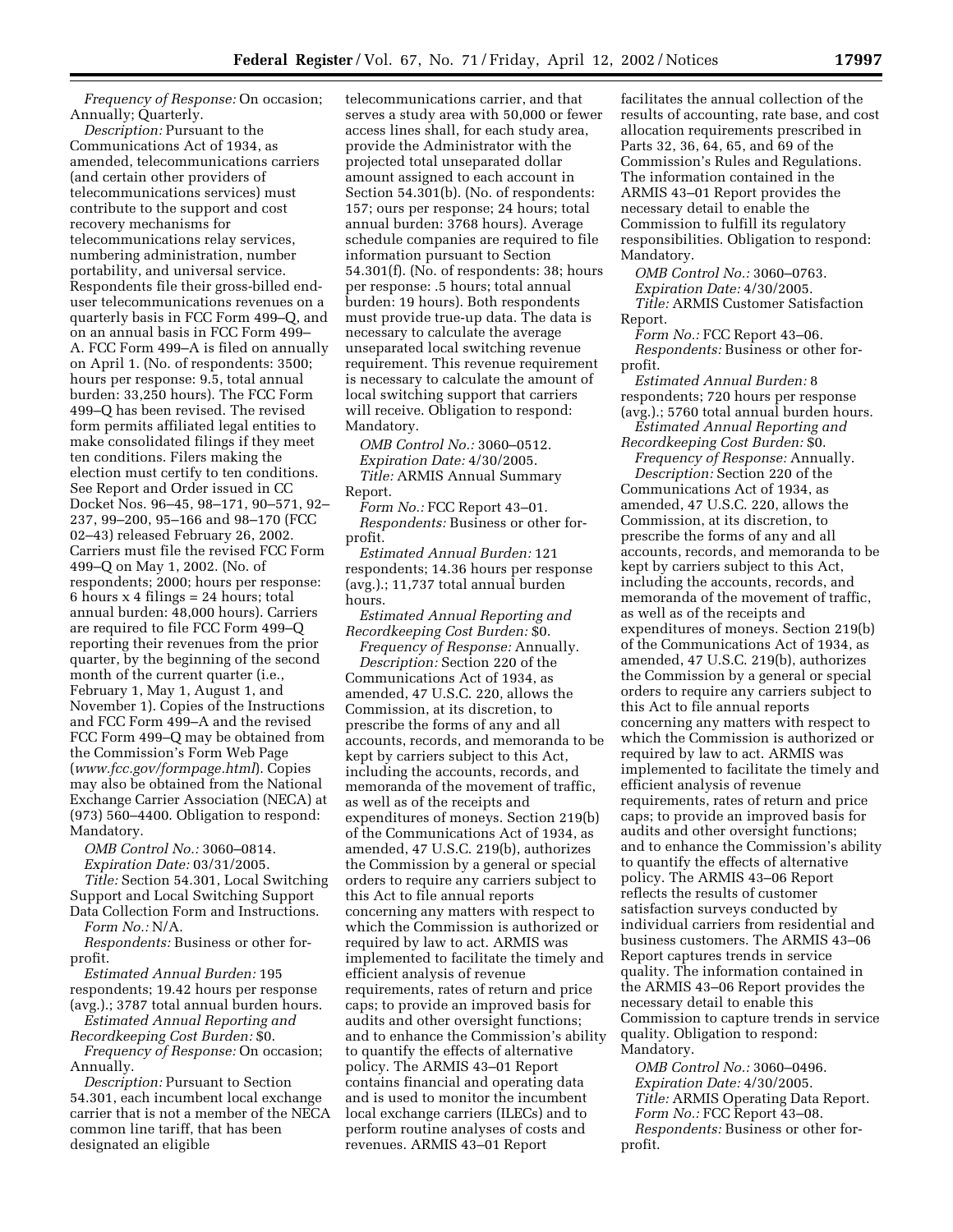*Frequency of Response:* On occasion; Annually; Quarterly.

*Description:* Pursuant to the Communications Act of 1934, as amended, telecommunications carriers (and certain other providers of telecommunications services) must contribute to the support and cost recovery mechanisms for telecommunications relay services, numbering administration, number portability, and universal service. Respondents file their gross-billed enduser telecommunications revenues on a quarterly basis in FCC Form 499–Q, and on an annual basis in FCC Form 499– A. FCC Form 499–A is filed on annually on April 1. (No. of respondents: 3500; hours per response: 9.5, total annual burden: 33,250 hours). The FCC Form 499–Q has been revised. The revised form permits affiliated legal entities to make consolidated filings if they meet ten conditions. Filers making the election must certify to ten conditions. See Report and Order issued in CC Docket Nos. 96–45, 98–171, 90–571, 92– 237, 99–200, 95–166 and 98–170 (FCC 02–43) released February 26, 2002. Carriers must file the revised FCC Form 499–Q on May 1, 2002. (No. of respondents; 2000; hours per response: 6 hours  $x$  4 filings = 24 hours; total annual burden: 48,000 hours). Carriers are required to file FCC Form 499–Q reporting their revenues from the prior quarter, by the beginning of the second month of the current quarter (i.e., February 1, May 1, August 1, and November 1). Copies of the Instructions and FCC Form 499–A and the revised FCC Form 499–Q may be obtained from the Commission's Form Web Page (*www.fcc.gov/formpage.html*). Copies may also be obtained from the National Exchange Carrier Association (NECA) at (973) 560–4400. Obligation to respond: Mandatory.

*OMB Control No.:* 3060–0814. *Expiration Date:* 03/31/2005.

*Title:* Section 54.301, Local Switching Support and Local Switching Support Data Collection Form and Instructions. *Form No.:* N/A.

*Respondents:* Business or other forprofit.

*Estimated Annual Burden:* 195 respondents; 19.42 hours per response (avg.).; 3787 total annual burden hours.

*Estimated Annual Reporting and Recordkeeping Cost Burden:* \$0.

*Frequency of Response:* On occasion; Annually.

*Description:* Pursuant to Section 54.301, each incumbent local exchange carrier that is not a member of the NECA common line tariff, that has been designated an eligible

telecommunications carrier, and that serves a study area with 50,000 or fewer access lines shall, for each study area, provide the Administrator with the projected total unseparated dollar amount assigned to each account in Section 54.301(b). (No. of respondents: 157; ours per response; 24 hours; total annual burden: 3768 hours). Average schedule companies are required to file information pursuant to Section 54.301(f). (No. of respondents: 38; hours per response: .5 hours; total annual burden: 19 hours). Both respondents must provide true-up data. The data is necessary to calculate the average unseparated local switching revenue requirement. This revenue requirement is necessary to calculate the amount of local switching support that carriers will receive. Obligation to respond: Mandatory.

*OMB Control No.:* 3060–0512. *Expiration Date:* 4/30/2005. *Title:* ARMIS Annual Summary Report.

*Form No.:* FCC Report 43–01. *Respondents:* Business or other forprofit.

*Estimated Annual Burden:* 121 respondents; 14.36 hours per response (avg.).; 11,737 total annual burden hours.

*Estimated Annual Reporting and Recordkeeping Cost Burden:* \$0. *Frequency of Response:* Annually.

*Description:* Section 220 of the Communications Act of 1934, as amended, 47 U.S.C. 220, allows the Commission, at its discretion, to prescribe the forms of any and all accounts, records, and memoranda to be kept by carriers subject to this Act, including the accounts, records, and memoranda of the movement of traffic, as well as of the receipts and expenditures of moneys. Section 219(b) of the Communications Act of 1934, as amended, 47 U.S.C. 219(b), authorizes the Commission by a general or special orders to require any carriers subject to this Act to file annual reports concerning any matters with respect to which the Commission is authorized or required by law to act. ARMIS was implemented to facilitate the timely and efficient analysis of revenue requirements, rates of return and price caps; to provide an improved basis for audits and other oversight functions; and to enhance the Commission's ability to quantify the effects of alternative policy. The ARMIS 43–01 Report contains financial and operating data and is used to monitor the incumbent local exchange carriers (ILECs) and to perform routine analyses of costs and revenues. ARMIS 43–01 Report

facilitates the annual collection of the results of accounting, rate base, and cost allocation requirements prescribed in Parts 32, 36, 64, 65, and 69 of the Commission's Rules and Regulations. The information contained in the ARMIS 43–01 Report provides the necessary detail to enable the Commission to fulfill its regulatory responsibilities. Obligation to respond: Mandatory.

*OMB Control No.:* 3060–0763. *Expiration Date:* 4/30/2005. *Title:* ARMIS Customer Satisfaction Report.

*Form No.:* FCC Report 43–06. *Respondents:* Business or other forprofit.

*Estimated Annual Burden:* 8 respondents; 720 hours per response (avg.).; 5760 total annual burden hours.

*Estimated Annual Reporting and Recordkeeping Cost Burden:* \$0.

*Frequency of Response:* Annually. *Description:* Section 220 of the Communications Act of 1934, as amended, 47 U.S.C. 220, allows the Commission, at its discretion, to prescribe the forms of any and all accounts, records, and memoranda to be kept by carriers subject to this Act, including the accounts, records, and memoranda of the movement of traffic, as well as of the receipts and expenditures of moneys. Section 219(b) of the Communications Act of 1934, as amended, 47 U.S.C. 219(b), authorizes the Commission by a general or special orders to require any carriers subject to this Act to file annual reports concerning any matters with respect to which the Commission is authorized or required by law to act. ARMIS was implemented to facilitate the timely and efficient analysis of revenue requirements, rates of return and price caps; to provide an improved basis for audits and other oversight functions; and to enhance the Commission's ability to quantify the effects of alternative policy. The ARMIS 43–06 Report reflects the results of customer satisfaction surveys conducted by individual carriers from residential and business customers. The ARMIS 43–06 Report captures trends in service quality. The information contained in the ARMIS 43–06 Report provides the necessary detail to enable this Commission to capture trends in service quality. Obligation to respond: Mandatory.

*OMB Control No.:* 3060–0496. *Expiration Date:* 4/30/2005. *Title:* ARMIS Operating Data Report. *Form No.:* FCC Report 43–08. *Respondents:* Business or other forprofit.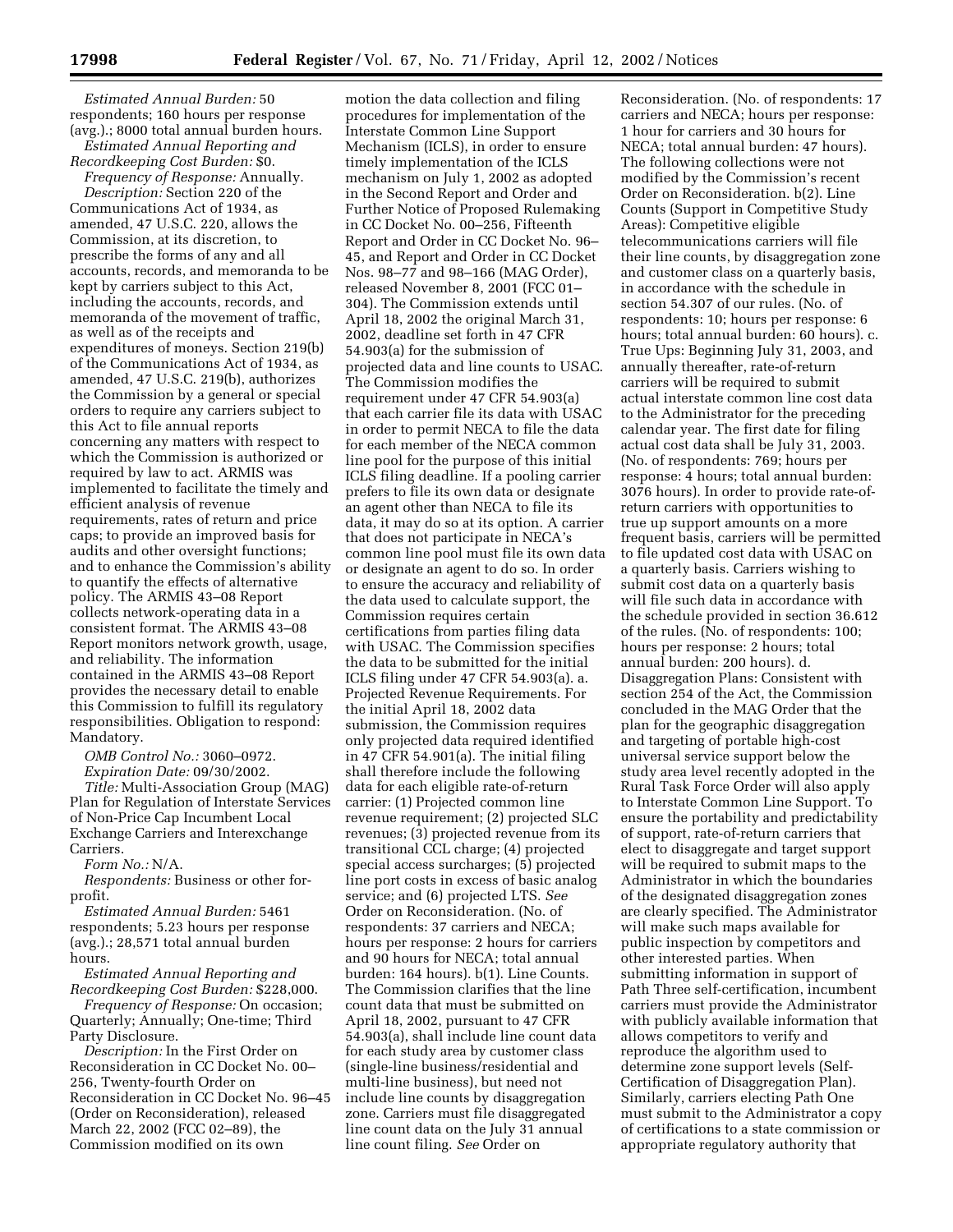*Estimated Annual Burden:* 50 respondents; 160 hours per response (avg.).; 8000 total annual burden hours.

*Estimated Annual Reporting and Recordkeeping Cost Burden:* \$0.

*Frequency of Response:* Annually. *Description:* Section 220 of the Communications Act of 1934, as amended, 47 U.S.C. 220, allows the Commission, at its discretion, to prescribe the forms of any and all accounts, records, and memoranda to be kept by carriers subject to this Act, including the accounts, records, and memoranda of the movement of traffic, as well as of the receipts and expenditures of moneys. Section 219(b) of the Communications Act of 1934, as amended, 47 U.S.C. 219(b), authorizes the Commission by a general or special orders to require any carriers subject to this Act to file annual reports concerning any matters with respect to which the Commission is authorized or required by law to act. ARMIS was implemented to facilitate the timely and efficient analysis of revenue requirements, rates of return and price caps; to provide an improved basis for audits and other oversight functions; and to enhance the Commission's ability to quantify the effects of alternative policy. The ARMIS 43–08 Report collects network-operating data in a consistent format. The ARMIS 43–08 Report monitors network growth, usage, and reliability. The information contained in the ARMIS 43–08 Report provides the necessary detail to enable this Commission to fulfill its regulatory responsibilities. Obligation to respond: Mandatory.

*OMB Control No.:* 3060–0972. *Expiration Date:* 09/30/2002.

*Title:* Multi-Association Group (MAG) Plan for Regulation of Interstate Services of Non-Price Cap Incumbent Local Exchange Carriers and Interexchange Carriers.

*Form No.:* N/A.

*Respondents:* Business or other forprofit.

*Estimated Annual Burden:* 5461 respondents; 5.23 hours per response (avg.).; 28,571 total annual burden hours.

*Estimated Annual Reporting and Recordkeeping Cost Burden:* \$228,000.

*Frequency of Response:* On occasion; Quarterly; Annually; One-time; Third Party Disclosure.

*Description:* In the First Order on Reconsideration in CC Docket No. 00– 256, Twenty-fourth Order on Reconsideration in CC Docket No. 96–45 (Order on Reconsideration), released March 22, 2002 (FCC 02–89), the Commission modified on its own

motion the data collection and filing procedures for implementation of the Interstate Common Line Support Mechanism (ICLS), in order to ensure timely implementation of the ICLS mechanism on July 1, 2002 as adopted in the Second Report and Order and Further Notice of Proposed Rulemaking in CC Docket No. 00–256, Fifteenth Report and Order in CC Docket No. 96– 45, and Report and Order in CC Docket Nos. 98–77 and 98–166 (MAG Order), released November 8, 2001 (FCC 01– 304). The Commission extends until April 18, 2002 the original March 31, 2002, deadline set forth in 47 CFR 54.903(a) for the submission of projected data and line counts to USAC. The Commission modifies the requirement under 47 CFR 54.903(a) that each carrier file its data with USAC in order to permit NECA to file the data for each member of the NECA common line pool for the purpose of this initial ICLS filing deadline. If a pooling carrier prefers to file its own data or designate an agent other than NECA to file its data, it may do so at its option. A carrier that does not participate in NECA's common line pool must file its own data or designate an agent to do so. In order to ensure the accuracy and reliability of the data used to calculate support, the Commission requires certain certifications from parties filing data with USAC. The Commission specifies the data to be submitted for the initial ICLS filing under 47 CFR 54.903(a). a. Projected Revenue Requirements. For the initial April 18, 2002 data submission, the Commission requires only projected data required identified in 47 CFR 54.901(a). The initial filing shall therefore include the following data for each eligible rate-of-return carrier: (1) Projected common line revenue requirement; (2) projected SLC revenues; (3) projected revenue from its transitional CCL charge; (4) projected special access surcharges; (5) projected line port costs in excess of basic analog service; and (6) projected LTS. *See* Order on Reconsideration. (No. of respondents: 37 carriers and NECA; hours per response: 2 hours for carriers and 90 hours for NECA; total annual burden: 164 hours). b(1). Line Counts. The Commission clarifies that the line count data that must be submitted on April 18, 2002, pursuant to 47 CFR 54.903(a), shall include line count data for each study area by customer class (single-line business/residential and multi-line business), but need not include line counts by disaggregation zone. Carriers must file disaggregated line count data on the July 31 annual line count filing. *See* Order on

Reconsideration. (No. of respondents: 17 carriers and NECA; hours per response: 1 hour for carriers and 30 hours for NECA; total annual burden: 47 hours). The following collections were not modified by the Commission's recent Order on Reconsideration. b(2). Line Counts (Support in Competitive Study Areas): Competitive eligible telecommunications carriers will file their line counts, by disaggregation zone and customer class on a quarterly basis, in accordance with the schedule in section 54.307 of our rules. (No. of respondents: 10; hours per response: 6 hours; total annual burden: 60 hours). c. True Ups: Beginning July 31, 2003, and annually thereafter, rate-of-return carriers will be required to submit actual interstate common line cost data to the Administrator for the preceding calendar year. The first date for filing actual cost data shall be July 31, 2003. (No. of respondents: 769; hours per response: 4 hours; total annual burden: 3076 hours). In order to provide rate-ofreturn carriers with opportunities to true up support amounts on a more frequent basis, carriers will be permitted to file updated cost data with USAC on a quarterly basis. Carriers wishing to submit cost data on a quarterly basis will file such data in accordance with the schedule provided in section 36.612 of the rules. (No. of respondents: 100; hours per response: 2 hours; total annual burden: 200 hours). d. Disaggregation Plans: Consistent with section 254 of the Act, the Commission concluded in the MAG Order that the plan for the geographic disaggregation and targeting of portable high-cost universal service support below the study area level recently adopted in the Rural Task Force Order will also apply to Interstate Common Line Support. To ensure the portability and predictability of support, rate-of-return carriers that elect to disaggregate and target support will be required to submit maps to the Administrator in which the boundaries of the designated disaggregation zones are clearly specified. The Administrator will make such maps available for public inspection by competitors and other interested parties. When submitting information in support of Path Three self-certification, incumbent carriers must provide the Administrator with publicly available information that allows competitors to verify and reproduce the algorithm used to determine zone support levels (Self-Certification of Disaggregation Plan). Similarly, carriers electing Path One must submit to the Administrator a copy of certifications to a state commission or appropriate regulatory authority that